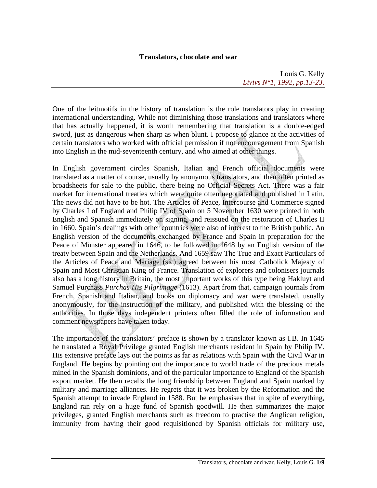## **Translators, chocolate and war**

Louis G. Kelly *Livivs N°1, 1992, pp.13-23.*

One of the leitmotifs in the history of translation is the role translators play in creating international understanding. While not diminishing those translations and translators where that has actually happened, it is worth remembering that translation is a double-edged sword, just as dangerous when sharp as when blunt. I propose to glance at the activities of certain translators who worked with official permission if not encouragement from Spanish into English in the mid-seventeenth century, and who aimed at other things.

In English government circles Spanish, Italian and French official documents were translated as a matter of course, usually by anonymous translators, and then often printed as broadsheets for sale to the public, there being no Official Secrets Act. There was a fair market for international treaties which were quite often negotiated and published in Latin. The news did not have to be hot. The Articles of Peace, Intercourse and Commerce signed by Charles I of England and Philip IV of Spain on 5 November 1630 were printed in both English and Spanish immediately on signing, and reissued on the restoration of Charles II in 1660. Spain's dealings with other countries were also of interest to the British public. An English version of the documents exchanged by France and Spain in preparation for the Peace of Münster appeared in 1646, to be followed in 1648 by an English version of the treaty between Spain and the Netherlands. And 1659 saw The True and Exact Particulars of the Articles of Peace and Mariage (sic) agreed between his most Catholick Majesty of Spain and Most Christian King of France. Translation of explorers and colonisers journals also has a long history in Britain, the most important works of this type being Hakluyt and Samuel Purchass *Purchas His Pilgrimage* (1613). Apart from that, campaign journals from French, Spanish and Italian, and books on diplomacy and war were translated, usually anonymously, for the instruction of the military, and published with the blessing of the authorities. In those days independent printers often filled the role of information and comment newspapers have taken today.

The importance of the translators' preface is shown by a translator known as I.B. In 1645 he translated a Royal Privilege granted English merchants resident in Spain by Philip IV. His extensive preface lays out the points as far as relations with Spain with the Civil War in England. He begins by pointing out the importance to world trade of the precious metals mined in the Spanish dominions, and of the particular importance to England of the Spanish export market. He then recalls the long friendship between England and Spain marked by military and marriage alliances. He regrets that it was broken by the Reformation and the Spanish attempt to invade England in 1588. But he emphasises that in spite of everything, England ran rely on a huge fund of Spanish goodwill. He then summarizes the major privileges, granted English merchants such as freedom to practise the Anglican religion, immunity from having their good requisitioned by Spanish officials for military use,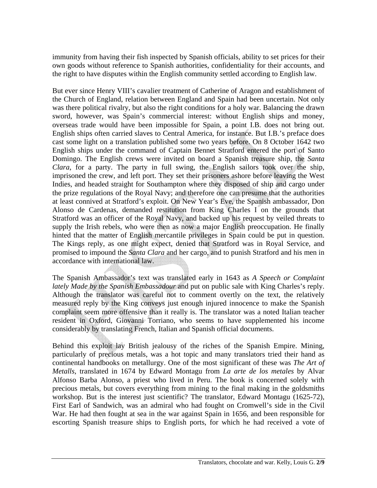immunity from having their fish inspected by Spanish officials, ability to set prices for their own goods without reference to Spanish authorities, confidentiality for their accounts, and the right to have disputes within the English community settled according to English law.

But ever since Henry VIII's cavalier treatment of Catherine of Aragon and establishment of the Church of England, relation between England and Spain had been uncertain. Not only was there political rivalry, but also the right conditions for a holy war. Balancing the drawn sword, however, was Spain's commercial interest: without English ships and money, overseas trade would have been impossible for Spain, a point I.B. does not bring out. English ships often carried slaves to Central America, for instance. But I.B.'s preface does cast some light on a translation published some two years before. On 8 October 1642 two English ships under the command of Captain Bennet Stratford entered the port of Santo Domingo. The English crews were invited on board a Spanish treasure ship, the *Santa Clara*, for a party. The party in full swing, the English sailors took over the ship, imprisoned the crew, and left port. They set their prisoners ashore before leaving the West Indies, and headed straight for Southampton where they disposed of ship and cargo under the prize regulations of the Royal Navy; and therefore one can presume that the authorities at least connived at Stratford's exploit. On New Year's Eve, the Spanish ambassador, Don Alonso de Cardenas, demanded restitution from King Charles I on the grounds that Stratford was an officer of the Royal Navy, and backed up his request by veiled threats to supply the Irish rebels, who were then as now a major English preoccupation. He finally hinted that the matter of English mercantile privileges in Spain could be put in question. The Kings reply, as one might expect, denied that Stratford was in Royal Service, and promised to impound the *Santa Clara* and her cargo, and to punish Stratford and his men in accordance with international law.

The Spanish Ambassador's text was translated early in 1643 as *A Speech or Complaint lately Made by the Spanish Embassadour* and put on public sale with King Charles's reply. Although the translator was careful not to comment overtly on the text, the relatively measured reply by the King conveys just enough injured innocence to make the Spanish complaint seem more offensive than it really is. The translator was a noted Italian teacher resident in Oxford, Giovanni Torriano, who seems to have supplemented his income considerably by translating French, Italian and Spanish official documents.

Behind this exploit lay British jealousy of the riches of the Spanish Empire. Mining, particularly of precious metals, was a hot topic and many translators tried their hand as continental handbooks on metallurgy. One of the most significant of these was *The Art of Metalls*, translated in 1674 by Edward Montagu from *La arte de los metales* by Alvar Alfonso Barba Alonso, a priest who lived in Peru. The book is concerned solely with precious metals, but covers everything from mining to the final making in the goldsmiths workshop. But is the interest just scientific? The translator, Edward Montagu (1625-72), First Earl of Sandwich, was an admiral who had fought on Cromwell's side in the Civil War. He had then fought at sea in the war against Spain in 1656, and been responsible for escorting Spanish treasure ships to English ports, for which he had received a vote of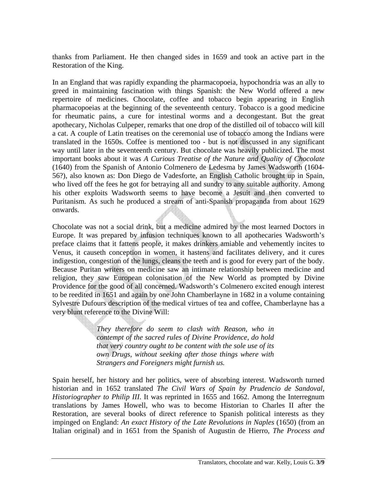thanks from Parliament. He then changed sides in 1659 and took an active part in the Restoration of the King.

In an England that was rapidly expanding the pharmacopoeia, hypochondria was an ally to greed in maintaining fascination with things Spanish: the New World offered a new repertoire of medicines. Chocolate, coffee and tobacco begin appearing in English pharmacopoeias at the beginning of the seventeenth century. Tobacco is a good medicine for rheumatic pains, a cure for intestinal worms and a decongestant. But the great apothecary, Nicholas Culpeper, remarks that one drop of the distilled oil of tobacco will kill a cat. A couple of Latin treatises on the ceremonial use of tobacco among the Indians were translated in the 1650s. Coffee is mentioned too - but is not discussed in any significant way until later in the seventeenth century. But chocolate was heavily publicized. The most important books about it was *A Curious Treatise of the Nature and Quality of Chocolate* (1640) from the Spanish of Antonio Colmenero de Ledesma by James Wadsworth (1604- 56?), also known as: Don Diego de Vadesforte, an English Catholic brought up in Spain, who lived off the fees he got for betraying all and sundry to any suitable authority. Among his other exploits Wadsworth seems to have become a Jesuit and then converted to Puritanism. As such he produced a stream of anti-Spanish propaganda from about 1629 onwards.

Chocolate was not a social drink, but a medicine admired by the most learned Doctors in Europe. It was prepared by infusion techniques known to all apothecaries Wadsworth's preface claims that it fattens people, it makes drinkers amiable and vehemently incites to Venus, it causeth conception in women, it hastens and facilitates delivery, and it cures indigestion, congestion of the lungs, cleans the teeth and is good for every part of the body. Because Puritan writers on medicine saw an intimate relationship between medicine and religion, they saw European colonisation of the New World as prompted by Divine Providence for the good of all concerned. Wadsworth's Colmenero excited enough interest to be reedited in 1651 and again by one John Chamberlayne in 1682 in a volume containing Sylvestre Dufours description of the medical virtues of tea and coffee, Chamberlayne has a very blunt reference to the Divine Will:

> *They therefore do seem to clash with Reason, who in contempt of the sacred rules of Divine Providence, do hold that very country ought to be content with the sole use of its own Drugs, without seeking after those things where with Strangers and Foreigners might furnish us.*

Spain herself, her history and her politics, were of absorbing interest. Wadsworth turned historian and in 1652 translated *The Civil Wars of Spain by Prudencio de Sandoval, Historiographer to Philip III*. It was reprinted in 1655 and 1662. Among the Interregnum translations by James Howell, who was to become Historian to Charles II after the Restoration, are several books of direct reference to Spanish political interests as they impinged on England: *An exact History of the Late Revolutions in Naples* (1650) (from an Italian original) and in 1651 from the Spanish of Augustin de Hierro, *The Process and*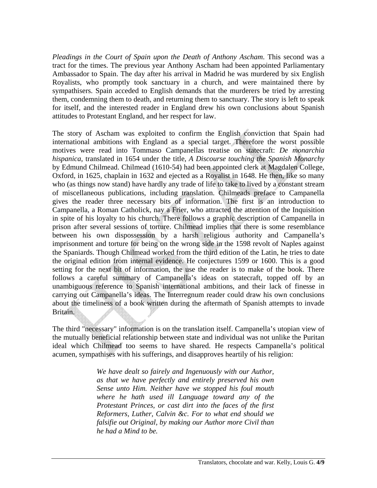*Pleadings in the Court of Spain upon the Death of Anthony Ascham*. This second was a tract for the times. The previous year Anthony Ascham had been appointed Parliamentary Ambassador to Spain. The day after his arrival in Madrid he was murdered by six English Royalists, who promptly took sanctuary in a church, and were maintained there by sympathisers. Spain acceded to English demands that the murderers be tried by arresting them, condemning them to death, and returning them to sanctuary. The story is left to speak for itself, and the interested reader in England drew his own conclusions about Spanish attitudes to Protestant England, and her respect for law.

The story of Ascham was exploited to confirm the English conviction that Spain had international ambitions with England as a special target. Therefore the worst possible motives were read into Tommaso Campanellas treatise on statecraft: *De monarchia hispanica*, translated in 1654 under the title, *A Discourse touching the Spanish Monarchy* by Edmund Chilmead. Chilmead (1610-54) had been appointed clerk at Magdalen College, Oxford, in 1625, chaplain in 1632 and ejected as a Royalist in 1648. He then, like so many who (as things now stand) have hardly any trade of life to take to lived by a constant stream of miscellaneous publications, including translation. Chilmeads preface to Campanella gives the reader three necessary bits of information. The first is an introduction to Campanella, a Roman Catholick, nay a Frier, who attracted the attention of the Inquisition in spite of his loyalty to his church. There follows a graphic description of Campanella in prison after several sessions of torture. Chilmead implies that there is some resemblance between his own dispossession by a harsh religious authority and Campanella's imprisonment and torture for being on the wrong side in the 1598 revolt of Naples against the Spaniards. Though Chilmead worked from the third edition of the Latin, he tries to date the original edition from internal evidence. He conjectures 1599 or 1600. This is a good setting for the next bit of information, the use the reader is to make of the book. There follows a careful summary of Campanella's ideas on statecraft, topped off by an unambiguous reference to Spanish international ambitions, and their lack of finesse in carrying out Campanella's ideas. The Interregnum reader could draw his own conclusions about the timeliness of a book written during the aftermath of Spanish attempts to invade Britain.

The third "necessary" information is on the translation itself. Campanella's utopian view of the mutually beneficial relationship between state and individual was not unlike the Puritan ideal which Chilmead too seems to have shared. He respects Campanella's political acumen, sympathises with his sufferings, and disapproves heartily of his religion:

> *We have dealt so fairely and Ingenuously with our Author, as that we have perfectly and entirely preserved his own Sense unto Him. Neither have we stopped his foul mouth where he hath used ill Language toward any of the Protestant Princes, or cast dirt into the faces of the first Reformers, Luther, Calvin &c. For to what end should we falsifie out Original, by making our Author more Civil than he had a Mind to be.*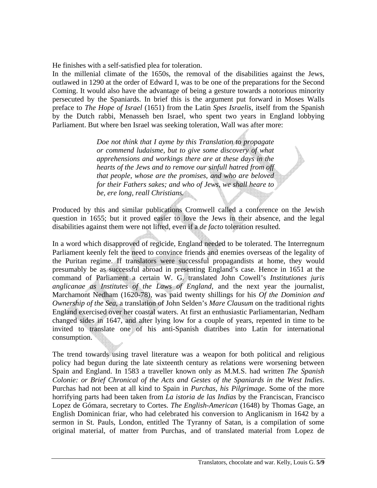He finishes with a self-satisfied plea for toleration.

In the millenial climate of the 1650s, the removal of the disabilities against the Jews, outlawed in 1290 at the order of Edward I, was to be one of the preparations for the Second Coming. It would also have the advantage of being a gesture towards a notorious minority persecuted by the Spaniards. In brief this is the argument put forward in Moses Walls preface to *The Hope of Israel* (1651) from the Latin *Spes Israelis*, itself from the Spanish by the Dutch rabbi, Menasseh ben Israel, who spent two years in England lobbying Parliament. But where ben Israel was seeking toleration, Wall was after more:

> *Doe not think that I ayme by this Translation to propagate or commend ludaisme, but to give some discovery of what apprehensions and workings there are at these days in the hearts of the Jews and to remove our sinfull hatred from off that people, whose are the promises, and who are beloved for their Fathers sakes; and who of Jews, we shall heare to be, ere long, reall Christians.*

Produced by this and similar publications Cromwell called a conference on the Jewish question in 1655; but it proved easier to love the Jews in their absence, and the legal disabilities against them were not lifted, even if a *de facto* toleration resulted.

In a word which disapproved of regicide, England needed to be tolerated. The Interregnum Parliament keenly felt the need to convince friends and enemies overseas of the legality of the Puritan regime. If translators were successful propagandists at home, they would presumably be as successful abroad in presenting England's case. Hence in 1651 at the command of Parliament a certain W. G. translated John Cowell's *Institutiones juris anglicanae as Institutes of the Laws of England*, and the next year the journalist, Marchamont Nedham (1620-78), was paid twenty shillings for his *Of the Dominion and Ownership of the Sea*, a translation of John Selden's *Mare Clausum* on the traditional rights England exercised over her coastal waters. At first an enthusiastic Parliamentarian, Nedham changed sides in 1647, and after lying low for a couple of years, repented in time to be invited to translate one of his anti-Spanish diatribes into Latin for international consumption.

The trend towards using travel literature was a weapon for both political and religious policy had begun during the late sixteenth century as relations were worsening between Spain and England. In 1583 a traveller known only as M.M.S. had written *The Spanish Colonie: or Brief Chronical of the Acts and Gestes of the Spaniards in the West Indies*. Purchas had not been at all kind to Spain in *Purchas, his Pilgrimage*. Some of the more horrifying parts had been taken from *La istoria de las Indias* by the Franciscan, Francisco Lopez de Gómara, secretary to Cortes. *The English-American* (1648) by Thomas Gage, an English Dominican friar, who had celebrated his conversion to Anglicanism in 1642 by a sermon in St. Pauls, London, entitled The Tyranny of Satan, is a compilation of some original material, of matter from Purchas, and of translated material from Lopez de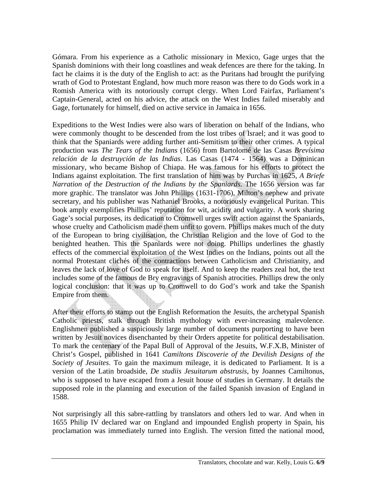Gómara. From his experience as a Catholic missionary in Mexico, Gage urges that the Spanish dominions with their long coastlines and weak defences are there for the taking. In fact he claims it is the duty of the English to act: as the Puritans had brought the purifying wrath of God to Protestant England, how much more reason was there to do Gods work in a Romish America with its notoriously corrupt clergy. When Lord Fairfax, Parliament's Captain-General, acted on his advice, the attack on the West Indies failed miserably and Gage, fortunately for himself, died on active service in Jamaica in 1656.

Expeditions to the West Indies were also wars of liberation on behalf of the Indians, who were commonly thought to be descended from the lost tribes of Israel; and it was good to think that the Spaniards were adding further anti-Semitism to their other crimes. A typical production was *The Tears of the Indians* (1656) from Bartolomé de las Casas *Brevísima relación de la destruyción de las Indias*. Las Casas (1474 - 1564) was a Dominican missionary, who became Bishop of Chiapa. He was famous for his efforts to protect the Indians against exploitation. The first translation of him was by Purchas in 1625, *A Briefe Narration of the Destruction of the Indians by the Spaniards*. The 1656 version was far more graphic. The translator was John Phillips (1631-1706), Milton's nephew and private secretary, and his publisher was Nathaniel Brooks, a notoriously evangelical Puritan. This book amply exemplifies Phillips' reputation for wit, acidity and vulgarity. A work sharing Gage's social purposes, its dedication to Cromwell urges swift action against the Spaniards, whose cruelty and Catholicism made them unfit to govern. Phillips makes much of the duty of the European to bring civilisation, the Christian Religion and the love of God to the benighted heathen. This the Spaniards were not doing. Phillips underlines the ghastly effects of the commercial exploitation of the West Indies on the Indians, points out all the normal Protestant clichés of the contractions between Catholicism and Christianity, and leaves the lack of love of God to speak for itself. And to keep the readers zeal hot, the text includes some of the famous de Bry engravings of Spanish atrocities. Phillips drew the only logical conclusion: that it was up to Cromwell to do God's work and take the Spanish Empire from them.

After their efforts to stamp out the English Reformation the Jesuits, the archetypal Spanish Catholic priests, stalk through British mythology with ever-increasing malevolence. Englishmen published a suspiciously large number of documents purporting to have been written by Jesuit novices disenchanted by their Orders appetite for political destabilisation. To mark the centenary of the Papal Bull of Approval of the Jesuits, W.F.X.B, Minister of Christ's Gospel, published in 1641 *Camiltons Discoverie of the Devilish Designs of the Society of Jesuites*. To gain the maximum mileage, it is dedicated to Parliament. It is a version of the Latin broadside, *De studiis Jesuitarum abstrusis*, by Joannes Camiltonus, who is supposed to have escaped from a Jesuit house of studies in Germany. It details the supposed role in the planning and execution of the failed Spanish invasion of England in 1588.

Not surprisingly all this sabre-rattling by translators and others led to war. And when in 1655 Philip IV declared war on England and impounded English property in Spain, his proclamation was immediately turned into English. The version fitted the national mood,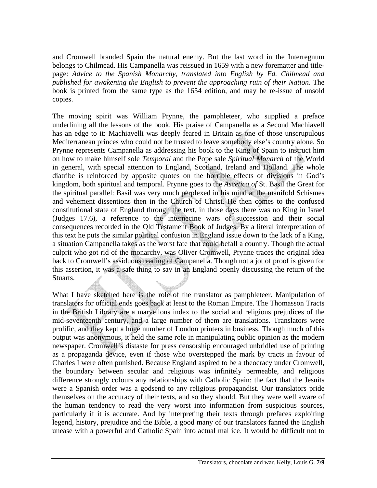and Cromwell branded Spain the natural enemy. But the last word in the Interregnum belongs to Chilmead. His Campanella was reissued in 1659 with a new forematter and titlepage: *Advice to the Spanish Monarchy, translated into English by Ed. Chilmead and published for awakening the English to prevent the approaching ruin of their Nation*. The book is printed from the same type as the 1654 edition, and may be re-issue of unsold copies.

The moving spirit was William Prynne, the pamphleteer, who supplied a preface underlining all the lessons of the book. His praise of Campanella as a Second Machiavell has an edge to it: Machiavelli was deeply feared in Britain as one of those unscrupulous Mediterranean princes who could not be trusted to leave somebody else's country alone. So Prynne represents Campanella as addressing his book to the King of Spain to instruct him on how to make himself sole *Temporal* and the Pope sale *Spiritual Monarch* of the World in general, with special attention to England, Scotland, Ireland and Holland. The whole diatribe is reinforced by apposite quotes on the horrible effects of divisions in God's kingdom, both spiritual and temporal. Prynne goes to the *Ascetica of* St. Basil the Great for the spiritual parallel: Basil was very much perplexed in his mind at the manifold Schismes and vehement dissentions then in the Church of Christ. He then comes to the confused constitutional state of England through the text, in those days there was no King in Israel (Judges 17.6), a reference to the internecine wars of succession and their social consequences recorded in the Old Testament Book of Judges. By a literal interpretation of this text he puts the similar political confusion in England issue down to the lack of a King, a situation Campanella takes as the worst fate that could befall a country. Though the actual culprit who got rid of the monarchy, was Oliver Cromwell, Prynne traces the original idea back to Cromwell's assiduous reading of Campanella. Though not a jot of proof is given for this assertion, it was a safe thing to say in an England openly discussing the return of the Stuarts.

What I have sketched here is the role of the translator as pamphleteer. Manipulation of translators for official ends goes back at least to the Roman Empire. The Thomasson Tracts in the British Library are a marvellous index to the social and religious prejudices of the mid-seventeenth century, and a large number of them are translations. Translators were prolific, and they kept a huge number of London printers in business. Though much of this output was anonymous, it held the same role in manipulating public opinion as the modern newspaper. Cromwell's distaste for press censorship encouraged unbridled use of printing as a propaganda device, even if those who overstepped the mark by tracts in favour of Charles I were often punished. Because England aspired to be a theocracy under Cromwell, the boundary between secular and religious was infinitely permeable, and religious difference strongly colours any relationships with Catholic Spain: the fact that the Jesuits were a Spanish order was a godsend to any religious propagandist. Our translators pride themselves on the accuracy of their texts, and so they should. But they were well aware of the human tendency to read the very worst into information from suspicious sources, particularly if it is accurate. And by interpreting their texts through prefaces exploiting legend, history, prejudice and the Bible, a good many of our translators fanned the English unease with a powerful and Catholic Spain into actual mal ice. It would be difficult not to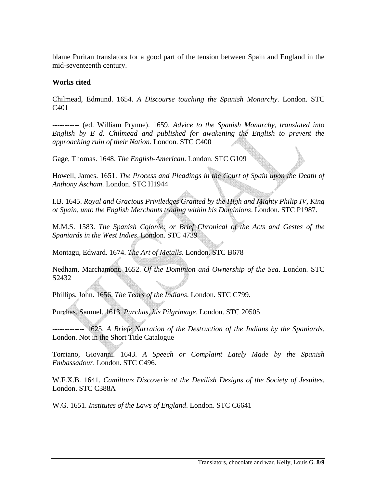blame Puritan translators for a good part of the tension between Spain and England in the mid-seventeenth century.

## **Works cited**

Chilmead, Edmund. 1654. *A Discourse touching the Spanish Monarchy*. London. STC C401

----------- (ed. William Prynne). 1659. *Advice to the Spanish Monarchy, translated into English by E d. Chilmead and published for awakening the English to prevent the approaching ruin of their Nation*. London. STC C400

Gage, Thomas. 1648. *The English-American*. London. STC G109

Howell, James. 1651. *The Process and Pleadings in the Court of Spain upon the Death of Anthony Ascham*. London. STC H1944

I.B. 1645. *Royal and Gracious Priviledges Granted by the High and Mighty Philip IV, King ot Spain, unto the English Merchants trading within his Dominions*. London. STC P1987.

M.M.S. 1583. *The Spanish Colonie: or Brief Chronical of the Acts and Gestes of the Spaniards in the West Indies*. London. STC 4739

Montagu, Edward. 1674. *The Art of Metalls*. London. STC B678

Nedham, Marchamont. 1652. *Of the Dominion and Ownership of the Sea*. London. STC S2432

Phillips, John. 1656. *The Tears of the Indians*. London. STC C799.

Purchas, Samuel. 1613. *Purchas, his Pilgrimage*. London. STC 20505

------------- 1625. *A Briefe Narration of the Destruction of the Indians by the Spaniards*. London. Not in the Short Title Catalogue

Torriano, Giovanni. 1643. *A Speech or Complaint Lately Made by the Spanish Embassadour*. London. STC C496.

W.F.X.B. 1641. *Camiltons Discoverie ot the Devilish Designs of the Society of Jesuites*. London. STC C388A

W.G. 1651. *Institutes of the Laws of England*. London. STC C6641